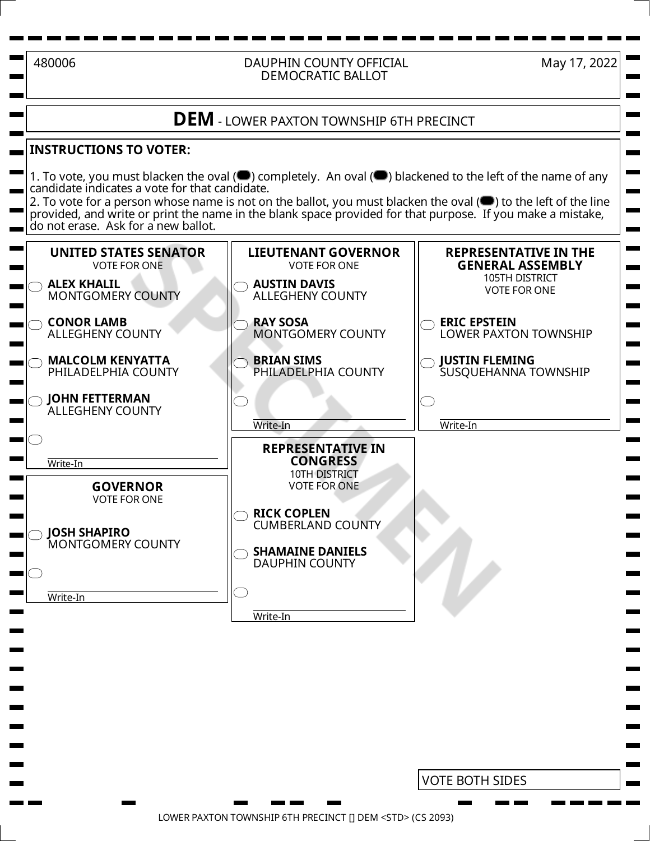## 480006 DAUPHIN COUNTY OFFICIAL DEMOCRATIC BALLOT

May 17, 2022

## **DEM** - LOWER PAXTON TOWNSHIP 6TH PRECINCT

## **INSTRUCTIONS TO VOTER:**

1. To vote, you must blacken the oval ( $\blacksquare$ ) completely. An oval ( $\blacksquare$ ) blackened to the left of the name of any candidate indicates a vote for that candidate.

2. To vote for a person whose name is not on the ballot, you must blacken the oval  $($ **)** to the left of the line provided, and write or print the name in the blank space provided for that purpose. If you make a mistake, do not erase. Ask for a new ballot.